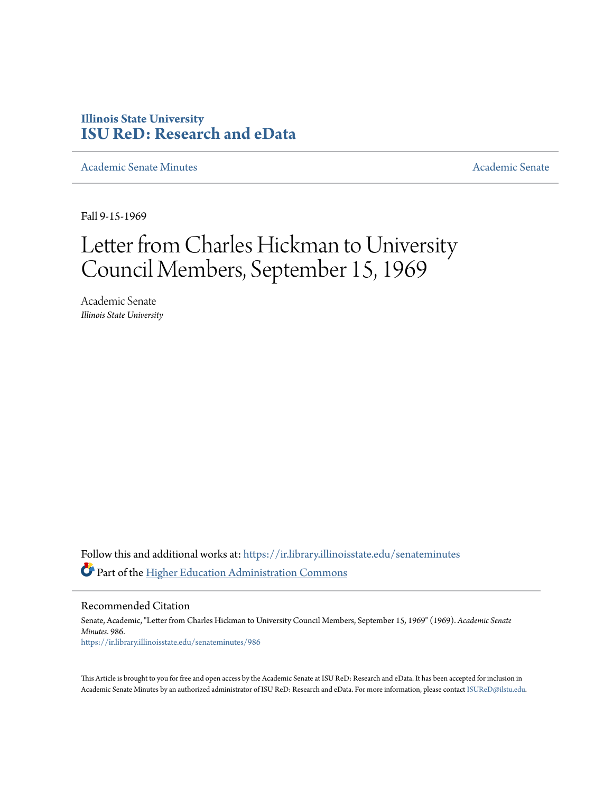## **Illinois State University [ISU ReD: Research and eData](https://ir.library.illinoisstate.edu?utm_source=ir.library.illinoisstate.edu%2Fsenateminutes%2F986&utm_medium=PDF&utm_campaign=PDFCoverPages)**

[Academic Senate Minutes](https://ir.library.illinoisstate.edu/senateminutes?utm_source=ir.library.illinoisstate.edu%2Fsenateminutes%2F986&utm_medium=PDF&utm_campaign=PDFCoverPages) [Academic Senate](https://ir.library.illinoisstate.edu/senate?utm_source=ir.library.illinoisstate.edu%2Fsenateminutes%2F986&utm_medium=PDF&utm_campaign=PDFCoverPages) Academic Senate

Fall 9-15-1969

## Letter from Charles Hickman to University Council Members, September 15, 1969

Academic Senate *Illinois State University*

Follow this and additional works at: [https://ir.library.illinoisstate.edu/senateminutes](https://ir.library.illinoisstate.edu/senateminutes?utm_source=ir.library.illinoisstate.edu%2Fsenateminutes%2F986&utm_medium=PDF&utm_campaign=PDFCoverPages) Part of the [Higher Education Administration Commons](http://network.bepress.com/hgg/discipline/791?utm_source=ir.library.illinoisstate.edu%2Fsenateminutes%2F986&utm_medium=PDF&utm_campaign=PDFCoverPages)

Recommended Citation

Senate, Academic, "Letter from Charles Hickman to University Council Members, September 15, 1969" (1969). *Academic Senate Minutes*. 986. [https://ir.library.illinoisstate.edu/senateminutes/986](https://ir.library.illinoisstate.edu/senateminutes/986?utm_source=ir.library.illinoisstate.edu%2Fsenateminutes%2F986&utm_medium=PDF&utm_campaign=PDFCoverPages)

This Article is brought to you for free and open access by the Academic Senate at ISU ReD: Research and eData. It has been accepted for inclusion in Academic Senate Minutes by an authorized administrator of ISU ReD: Research and eData. For more information, please contact [ISUReD@ilstu.edu.](mailto:ISUReD@ilstu.edu)